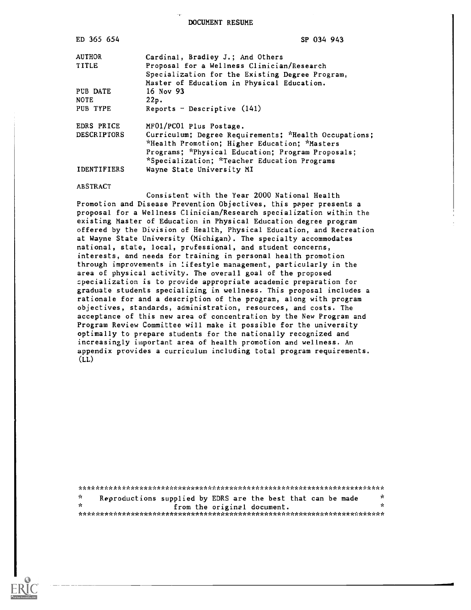DOCUMENT RESUME

| ED 365 654         | SP 034 943                                            |
|--------------------|-------------------------------------------------------|
| <b>AUTHOR</b>      | Cardinal, Bradley J.; And Others                      |
| <b>TITLE</b>       | Proposal for a Wellness Clinician/Research            |
|                    | Specialization for the Existing Degree Program,       |
|                    | Master of Education in Physical Education.            |
| PUB DATE           | 16 Nov 93                                             |
| <b>NOTE</b>        | 22p.                                                  |
| PUB TYPE           | Reports - Descriptive $(141)$                         |
| EDRS PRICE         | MF01/PC01 Plus Postage.                               |
| DESCRIPTORS        | Curriculum; Degree Requirements; *Health Occupations; |
|                    | *Health Promotion; Higher Education; *Masters         |
|                    | Programs; *Physical Education; Program Proposals;     |
|                    | *Specialization; *Teacher Education Programs          |
| <b>IDENTIFIERS</b> | Wayne State University MI                             |

#### ABSTRACT

Consistent with the Year 2000 National Health Promotion and Disease Prevention Objectives, this paper presents a proposal for a Wellness Clinician/Research specialization within the existing Master of Education in Physical Education degree program offered by the Division of Health, Physical Education, and Recreation at Wayne State University (Michigan). The specialty accommodates national, state, local, professional, and student concerns, interests, and needs for training in personal health promotion through improvements in lifestyle management, particularly in the area of physical activity. The overall goal of the proposed specialization is to provide appropriate academic preparation for graduate students specializing in wellness. This proposal includes a rationale for and a description of the program, along with program objectives, standards, administration, resources, and costs. The acceptance of this new area of concentration by the New Program and Program Review Committee will make it possible for the university optimally to prepare students for the nationally recognized and increasingly important area of health promotion and wellness. An appendix provides a curriculum including total program requirements.  $(LL)$ 

\*\*\*\*\*\*\*\*\*\*\*\*\*\*\*\*\*\*\*\*\*\*\*\*\*\*\*\*\*\*\*\*\*\*\*\*\*\*\*\*\*\*\*\*\*\*\*\*\*\*\*\*\*\*\*\*\*\*\*\*\*\*\*\*\*\*\*\*\*\*\* Reproductions supplied by EDRS are the best that can be made  $\frac{x}{x}$ from the original document. \*\*\*\*\*\*\*\*\*\*\*\*\*\*\*\*\*\*\*\*\*\*\*\*\*\*\*\*\*\*\*\*\*\*\*\*\*\*\*\*\*\*\*\*\*\*\*\*\*\*\*\*\*\*\*\*\*\*\*\*\*\*\*\*\*\*\*\*\*\*\*

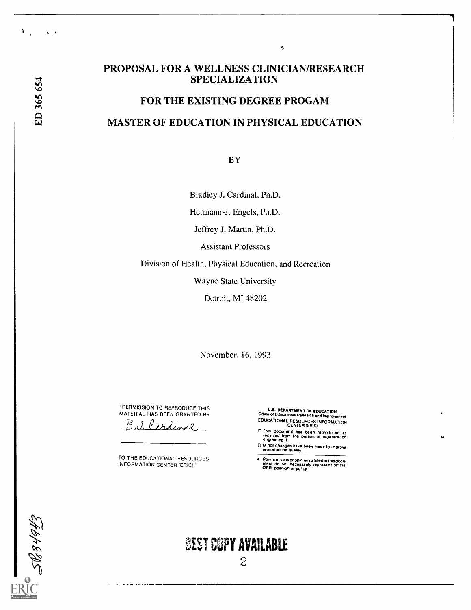$\pmb{\delta}=\pmb{r}$ 

 $\mathcal{L}$ 

# PROPOSAL FOR A WELLNESS CLINICIAN/RESEARCH SPECIALIZATION

 $\tilde{\gamma}$ 

# FOR THE EXISTING DEGREE PROGAM MASTER OF EDUCATION IN PHYSICAL EDUCATION

BY

Bradley J. Cardinal, Ph.D.

Hermann-J. Engels, Ph.D.

Jeffrey J. Martin, Ph.D.

Assistant Professors

Division of Health, Physical Education, and Recreation

Wayne State University

Detroit, MI 48202

November, 16, 1993

"PERMISSION TO REPRODUCE THIS MATERIAL HAS BEEN GRANTED BY

Cardinal

TO THE EDUCATIONAL RESOURCES INFORMATION CENTER (ERIC)"

U.S. DEPARTMENT OF EDUCATION Office of Educational ffimarch and Improvement EDUCATIONAL RESOURCES INFORMATION CENTER (ERIC)

- This document has been reproduced as<br>received from the person or organization<br>originating it
- L) Minor changes have been made to improve<br>"reproduction quality"
- Points of view or opintons stated in this document do not necessarily represent official OERI poathon or policy



# BEST COPY AVAILABLE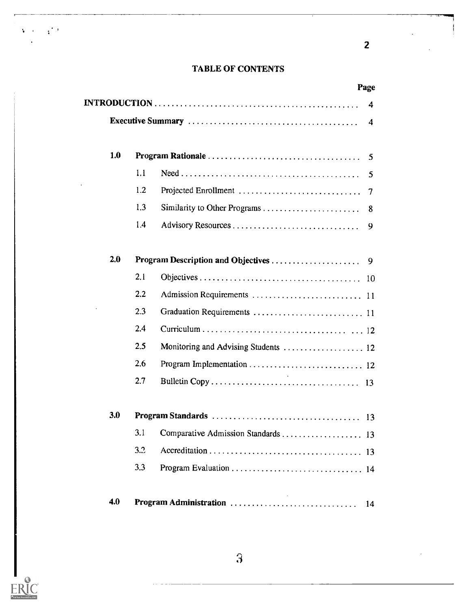# TABLE OF CONTENTS

2

|     |     | Page                                    |
|-----|-----|-----------------------------------------|
|     |     | 4                                       |
|     |     | 4                                       |
| 1.0 |     | 5                                       |
|     | 1.1 | 5                                       |
|     | 1.2 | Projected Enrollment<br>7               |
|     | 1.3 | 8                                       |
|     | 1.4 | 9                                       |
| 2.0 |     | Program Description and Objectives<br>9 |
|     | 2.1 |                                         |
|     | 2.2 |                                         |
|     | 2.3 |                                         |
|     | 2.4 |                                         |
|     | 2.5 | Monitoring and Advising Students  12    |
|     | 2.6 |                                         |
|     | 2.7 |                                         |
| 3.0 |     |                                         |
|     | 3.1 |                                         |
|     | 3.2 |                                         |
|     | 3.3 |                                         |



 $\mathbf{v}$  and  $\mathbf{v}$   $\mathbf{r}$  is the set of  $\mathbf{r}$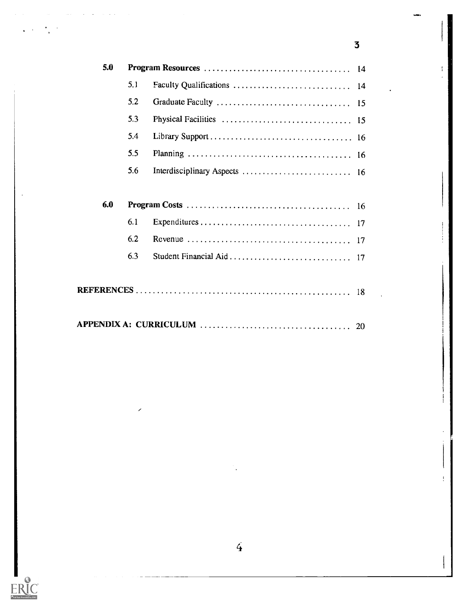| 5.0 |     |                            | -14 |
|-----|-----|----------------------------|-----|
|     | 5.1 | Faculty Qualifications  14 |     |
|     | 5.2 |                            |     |
|     | 5.3 |                            |     |
|     | 5.4 |                            |     |
|     | 5.5 |                            |     |
|     | 5.6 |                            |     |
|     |     |                            |     |
| 6.0 |     |                            |     |
|     | 6.1 |                            |     |
|     | 6.2 |                            |     |
|     | 6.3 |                            |     |
|     |     |                            |     |
|     |     |                            |     |
|     |     |                            |     |
|     |     |                            |     |

3



 $\mathbf{v} = \mathbf{v}^{\top}$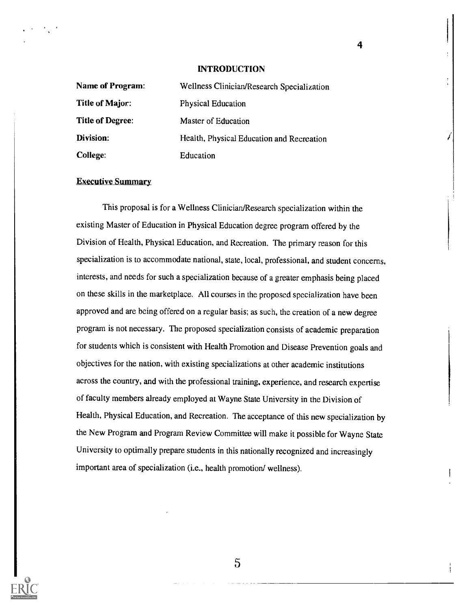#### INTRODUCTION

4

| Name of Program:        | Wellness Clinician/Research Specialization |
|-------------------------|--------------------------------------------|
| Title of Major:         | Physical Education                         |
| <b>Title of Degree:</b> | Master of Education                        |
| Division:               | Health, Physical Education and Recreation  |
| <b>College:</b>         | Education                                  |

#### Executive Summary

This proposal is for a Wellness Clinician/Research specialization within the existing Master of Education in Physical Education degree program offered by the Division of Health, Physical Education, and Recreation. The primary reason for this specialization is to accommodate national, state, local, professional, and student concerns, interests, and needs for such a specialization because of a greater emphasis being placed on these skills in the marketplace. All courses in the proposed specialization have been approved and are being offered on a regular basis; as such, the creation of a new degree program is not necessary. The proposed specialization consists of academic preparation for students which is consistent with Health Promotion and Disease Prevention goals and objectives for the nation, with existing specializations at other academic institutions across the country, and with the professional training, experience, and research expertise of faculty members already employed at Wayne State University in the Division of Health, Physical Education, and Recreation. The acceptance of this new specialization by the New Program and Program Review Committee will make it possible for Wayne State University to optimally prepare students in this nationally recognized and increasingly important area of specialization (i.e., health promotion/ wellness).

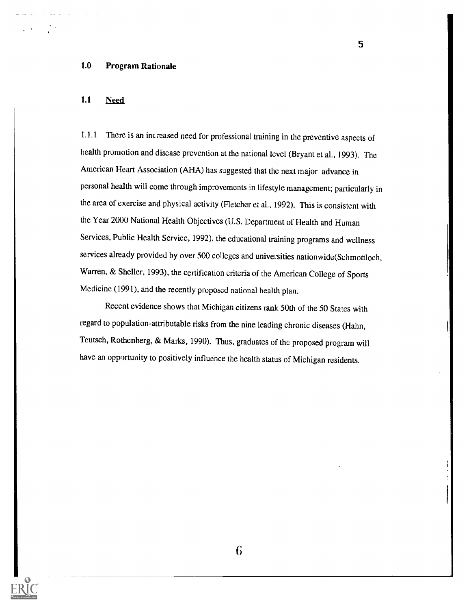# 1.0 Program Rationale

#### 1.1 **Need**

1.1.1 There is an increased need for professional training in the preventive aspects of health promotion and disease prevention at the national level (Bryant et al., 1993). The American Heart Association (AHA) has suggested that the next major advance in personal health will come through improvements in lifestylemanagement; particularly in the area of exercise and physical activity (Fletcher et al., 1992). This is consistent with the Year 2000 National Health Objectives (U.S. Department of Health and Human Services, Public Health Service, 1992), the educational training programs and wellness services already provided by over 500 colleges and universities nationwide(Schmottloch, Warren, & Sheller, 1993), the certification criteria of the American College of Sports Medicine (1991), and the recently proposed national health plan.

5

Recent evidence shows that Michigan citizens rank 50th of the 50 States with regard to population-attributable risks from the nine leading chronic diseases (Hahn, Teutsch, Rothenberg, & Marks, 1990). Thus, graduates of the proposed program will have an opportunity to positively influence the health status of Michigan residents.

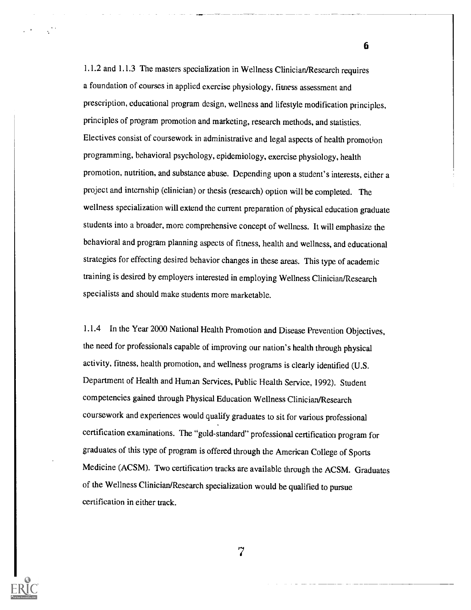1.1.2 and 1.1.3 The masters specialization in Wellness Clinician/Research requires a foundation of courses in applied exercise physiology, fitness assessment and prescription, educational program design, wellness and lifestyle modification principles, principles of program promotion and marketing, research methods, and statistics. Electives consist of coursework in administrative and legal aspects of health promotion programming, behavioral psychology, epidemiology, exercise physiology, health promotion, nutrition, and substance abuse. Depending upon a student's interests, either a project and internship (clinician) or thesis (research) option will be completed. The wellness specialization will extend the current preparation of physical education graduate students into a broader, more comprehensive concept of wellness. It will emphasize the behavioral and program planning aspects of fitness, health and wellness, and educational strategies for effecting desired behavior changes in these areas. This type of academic training is desired by employers interested in employing Wellness Clinician/Research specialists and should make students more marketable.

6

1.1.4 In the Year 2000 National Health Promotion and Disease Prevention Objectives, the need for professionals capable of improving our nation's health through physical activity, fitness, health promotion, and wellness programs is clearly identified (U.S. Department of Health and Human Services, Public Health Service, 1992). Student competencies gained through Physical Education Wellness Clinician/Research coursework and experiences would qualify graduates to sit for various professional certification examinations. The "gold-standard" professional certification program for graduates of this type of program is offered through the American College of Sports Medicine (ACSM). Two certification tracks are available through the ACSM. Graduates of the Wellness Clinician/Research specialization would be qualified to pursue certification in either track.

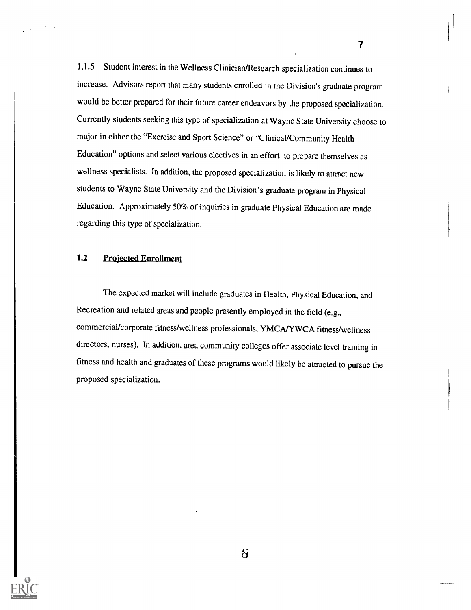1.1.5 Student interest in the Wellness Clinician/Research specialization continues to increase. Advisors report that many students enrolled in the Division's graduate program would be better prepared for their future career endeavors by the proposed specialization. Currently students seeking this type of specialization at Wayne State University choose to major in either the "Exercise and Sport Science" or "Clinical/Community Health Education" options and select various electives in an effort to prepare themselves as wellness specialists. In addition, the proposed specialization is likely to attract new students to Wayne State University and the Division's graduate program in Physical Education. Approximately 50% of inquiries in graduate Physical Education are made regarding this type of specialization.

 $\overline{\mathbf{7}}$ 

 $\overline{1}$ 

# 1.2 Projected Enrollment

The expected market will include graduates in Health, Physical Education, and Recreation and related areas and people presently employed in the field (e.g., commercial/corporate fitness/wellness professionals, YMCA/YWCA fitness/wellness directors, nurses). In addition, area community colleges offer associate level training in fitness and health and graduates of these programs would likely be attracted to pursue the proposed specialization.



 $\delta$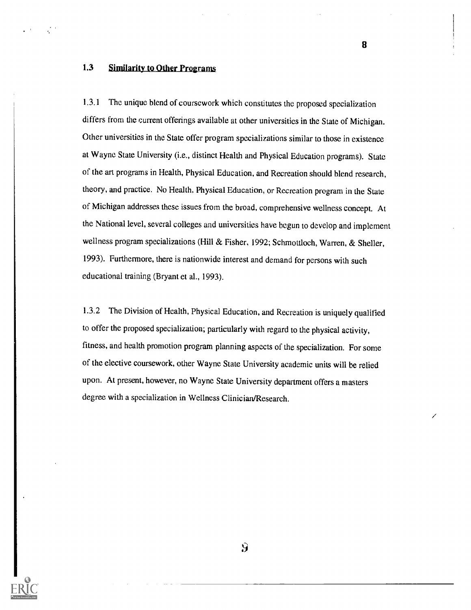# 1.3 Similarity to Other Programs

1.3.1 The unique blend of coursework which constitutes the proposed specialization differs from the current offerings available at other universities in the State of Michigan. Other universities in the State offer program specializations similar to those in existence at Wayne State University (i.e., distinct Health and Physical Education programs). State of the art programs in Health, Physical Education, and Recreation should blend research, theory, and practice. No Health, Physical Education, or Recreation program in the State of Michigan addresses these issues from the broad, comprehensive wellness concept. At the National level, several colleges and universities have begun to develop and implement wellness program specializations (Hill & Fisher, 1992; Schmottloch, Warren, & Sheller, 1993). Furthermore, there is nationwide interest and demand for persons with such educational training (Bryant et al., 1993).

1.3.2 The Division of Health, Physical Education, and Recreation is uniquely qualified to offer the proposed specialization; particularly with regard to the physical activity, fitness, and health promotion program planning aspects of the specialization. For some of the elective coursework, other Wayne State University academic units will be relied upon. At present, however, no Wayne State University department offers a masters degree with a specialization in Wellness Clinician/Research.



 $\mathbf{\mathcal{G}}$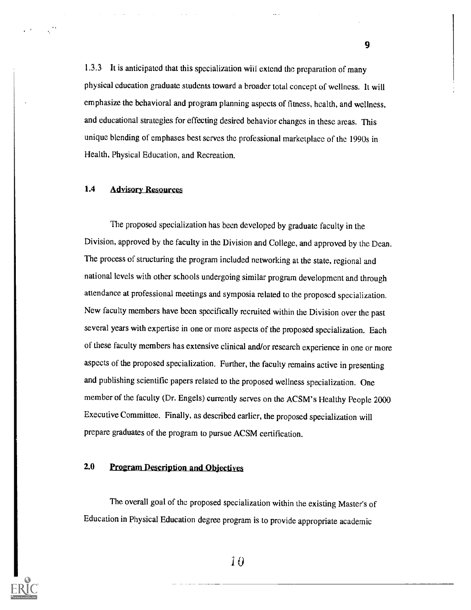1.3.3 It is anticipated that this specialization will extend the preparation of many physical education graduate students toward a broader total concept of wellness. It will emphasize the behavioral and program planning aspects of fitness, health, and wellness, and educational strategies for effecting desired behavior changes in these areas. This unique blending of emphases best serves the professional marketplace of the 1990s in Health, Physical Education, and Recreation.

#### 1.4 Advisory Resources

The proposed specialization has been developed by graduate faculty in the Division, approved by the faculty in the Division and College, and approved by the Dean. The process of structuring the program included networking at the state, regional and national levels with other schools undergoing similar program development and through attendance at professional meetings and symposia related to the proposed specialization. New faculty members have been specifically recruited within the Division over the past several years with expertise in one or more aspects of the proposed specialization. Each of these faculty members has extensive clinical and/or research experience in one or more aspects of the proposed specialization. Further, the faculty remains active in presenting and publishing scientific papers related to the proposed wellness specialization. One member of the faculty (Dr. Engels) currently serves on the ACSM's Healthy People 2000 Executive Committee. Finally, as described earlier, the proposed specialization will prepare graduates of the program to pursue ACSM certification.

# 2.0 Program Description and Objectives

The overall goal of the proposed specialization within the existing Master's of Education in Physical Education degree program is to provide appropriate academic



i0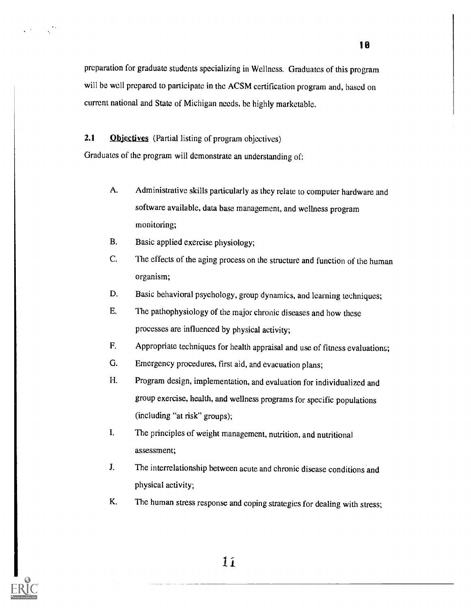preparation for graduate students specializing in Wellness. Graduates of this program will be well prepared to participate in the ACSM certification program and, based on current national and State of Michigan needs, be highly marketable.

2.1 **Objectives** (Partial listing of program objectives)

Graduates of the program will demonstrate an understanding of:

- A. Administrative skills particularly as they relate to computer hardware and software available, data base management, and wellness program monitoring;
- B. Basic applied exercise physiology;
- C. The effects of the aging process on the structure and function of the human organism;
- D. Basic behavioral psychology, group dynamics, and learning techniques;
- E. The pathophysiology of the major chronic diseases and how these processes are influenced by physical activity;
- F. Appropriate techniques for health appraisal and use of fitness evaluations;
- G. Emergency procedures, first aid, and evacuation plans;
- H. Program design, implementation, and evaluation for individualized and group exercise, health, and wellness programs for specific populations (including "at risk" groups);
- I. The principles of weight management, nutrition, and nutritional assessment;
- J. The interrelationship between acute and chronic disease conditions and physical activity;
- K. The human stress response and coping strategies for dealing with stress;



 $\mathcal{L}^{\mathcal{M}}$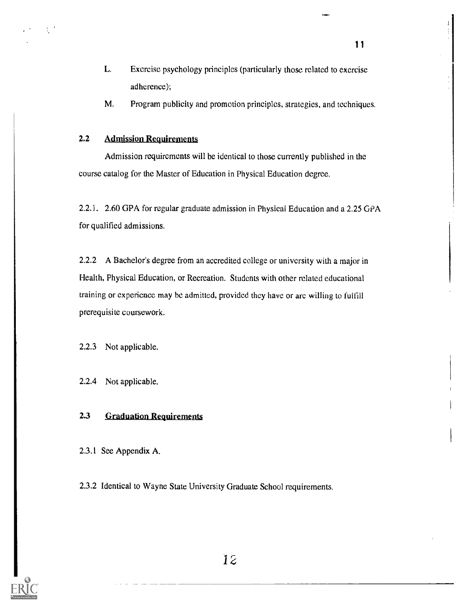- L. Exercise psychology principles (particularly those related to exercise adherence);
- M. Program publicity and promotion principles, strategies, and techniques.

# 2.2 Admission Requirements

Admission requirements will be identical to those currently published in the course catalog for the Master of Education in Physical Education degree.

2.2.1. 2.60 GPA for regular graduate admission in Physical Education and a 2.25 GPA for qualified admissions.

2.2.2 A Bachelor's degree from an accredited college or university with a major in Health, Physical Education, or Recreation. Students with other related educational training or experience may be admitted, provided they have or arc willing to fulfill prerequisite coursework.

2.2.3 Not applicable.

2.2.4 Not applicable.

# 2.3 Graduation Requirements

2.3.1 See Appendix A.

2.3.2 Identical to Wayne State University Graduate School requirements.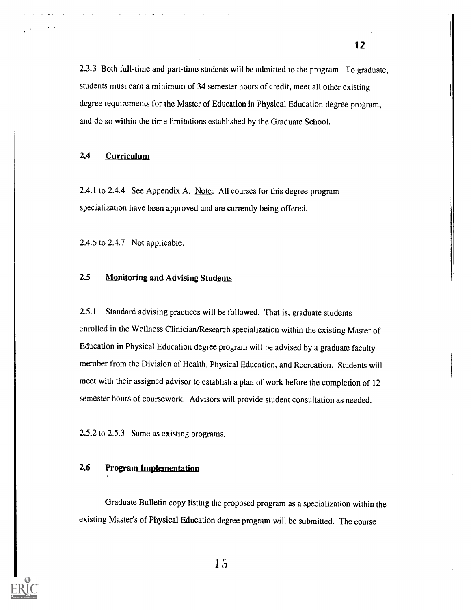2.3.3 Both full-time and part-time students will be admitted to the program. To graduate, students must earn a minimum of 34 semester hours of credit, meet all other existing degree requirements for the Master of Education in Physical Education degree program, and do so within the time limitations established by the Graduate School.

#### 2.4 Curriculum

2.4.1 to 2.4.4 See Appendix A. Note: All courses for this degree program specialization have been approved and are currently being offered.

2.4.5 to 2.4.7 Not applicable.

# 2.5 Monitoring and Advising Students

2.5.1 Standard advising practices will be followed. That is, graduate students enrolled in the Wellness Clinician/Research specialization within the existing Master of Education in Physical Education degree program will be advised by a graduate faculty member from the Division of Health, Physical Education, and Recreation. Students will meet with their assigned advisor to establish a plan of work before the completion of 12 semester hours of coursework. Advisors will provide student consultation as needed.

2.5.2 to 2.5.3 Same as existing programs.

#### 2.6 Program Implementation

Graduate Bulletin copy listing the proposed program as a specialization within the existing Master's of Physical Education degree program will be submitted. The course

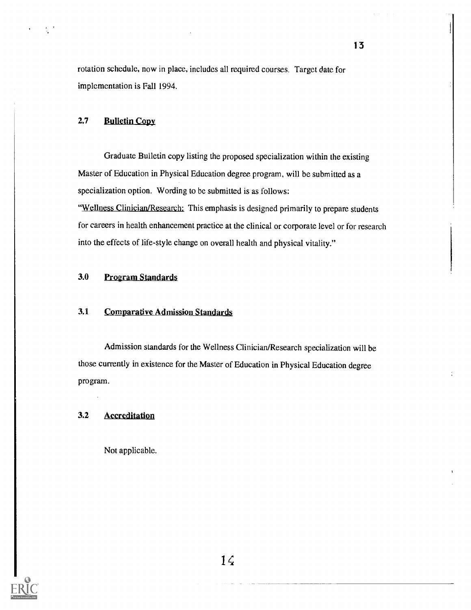rotation schedule, now in place, includes all required courses. Target date for implementation is Fall 1994.

# 2.7 Bulletin Copy

Graduate Bulletin copy listing the proposed specialization within the existing Master of Education in Physical Education degree program, will be submitted as a specialization option. Wording to be submitted is as follows:

"Wellness Clinician/Research: This emphasis is designed primarily to prepare students for careers in health enhancement practice at the clinical or corporate level or for research into the effects of life-style change on overall health and physical vitality."

# 3.0 Program Standards

# 3.1 Comparative Admission Standards

Admission standards for the Wellness Clinician/Research specialization will be those currently in existence for the Master of Education in Physical Education degree program.

# 3.2 Accreditation

Not applicable.

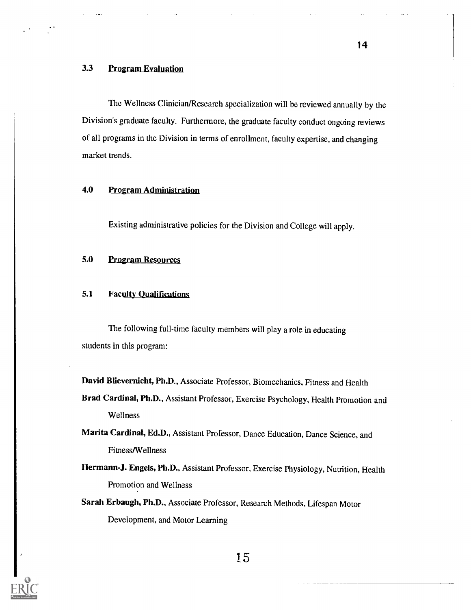# 3.3 Program Evaluation

The Wellness Clinician/Research specialization will be reviewed annually by the Division's graduate faculty. Furthermore, the graduate faculty conduct ongoing reviews of all programs in the Division in terms of enrollment, faculty expertise, and changing market trends.

#### 4.0 Program Administration

Existing administrative policies for the Division and College will apply.

# 5.0 Program Resources

# 5.1 Faculty Qualifications

The following full-time faculty members will play a role in educating students in this program:

David Blievernicht, Ph.D., Associate Professor, Biomechanics, Fitness and Health

Brad Cardinal, Ph.D., Assistant Professor, Exercise Psychology, Health Promotion and Wellness

Marita Cardinal, Ed.D., Assistant Professor, Dance Education, Dance Science, and Fitness/Wellness

Hermann-J. Engels, Ph.D., Assistant Professor, Exercise Physiology, Nutrition, Health Promotion and Wellness

Sarah Erbaugh, Ph.D., Associate Professor, Research Methods, Lifespan Motor Development, and Motor Learning

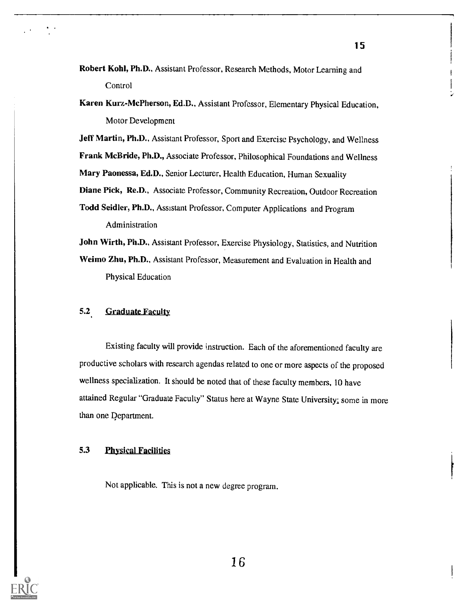- Robert Kohl, Ph.D., Assistant Professor, Research Methods, Motor Learning and **Control**
- Karen Kurz-McPherson, Ed.D., Assistant Professor, Elementary Physical Education, Motor Development

Jeff Martin, Ph.D., Assistant Professor, Sport and Exercise Psychology, and Wellness

Frank McBride, Ph.D., Associate Professor, Philosophical Foundations and Wellness

Mary Paonessa, Ed.D., Senior Lecturer, Health Education, Human Sexuality

Diane Pick, Re.D., Associate Professor, Community Recreation, Outdoor Recreation

Todd Seidler, Ph.D., Assistant Professor, Computer Applications and Program Administration

John Wirth, Ph.D., Assistant Professor, Exercise Physiology, Statistics, and Nutrition

Weimo Zhu, Ph.D., Assistant Professor, Measurement and Evaluation in Health and Physical Education

#### 5.2 Graduate Faculty

Existing faculty will provide instruction. Each of the aforementioned faculty are productive scholars with research agendas related to one or more aspects of the proposed wellness specialization. It should be noted that of these faculty members, 10 have attained Regular "Graduate Faculty" Status here at Wayne State University; some in more than one Department.

# 5.3 Physical Facilities

Not applicable. This is not a new degree program.

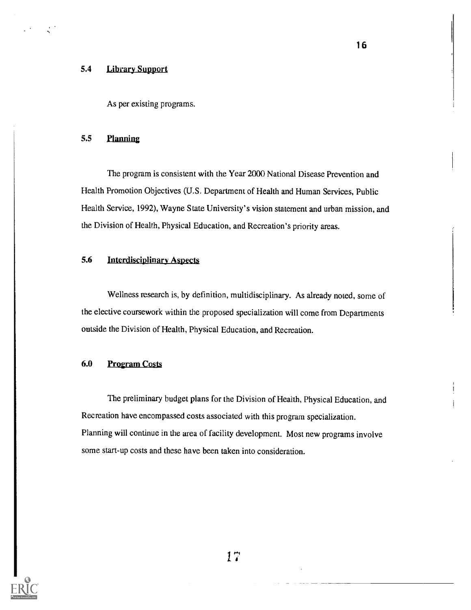# 5.4 Library Support

As per existing programs.

# 5.5 Planning

The program is consistent with the Year 2000 National Disease Prevention and Health Promotion Objectives (U.S. Department of Health and Human Services, Public Health Service, 1992), Wayne State University's vision statement and urban mission, and the Division of Health, Physical Education, and Recreation's priority areas.

# 5.6 'Interdisciplinary Aspects

Wellness research is, by definition, multidisciplinary. As already noted, some of the elective coursework within the proposed specialization will come from Departments outside the Division of Health, Physical Education, and Recreation.

#### 6.0 Program Costa

The preliminary budget plans for the Division of Health, Physical Education, and Recreation have encompassed costs associated with this program specialization. Planning will continue in the area of facility development. Most new programs involve some start-up costs and these have been taken into consideration.

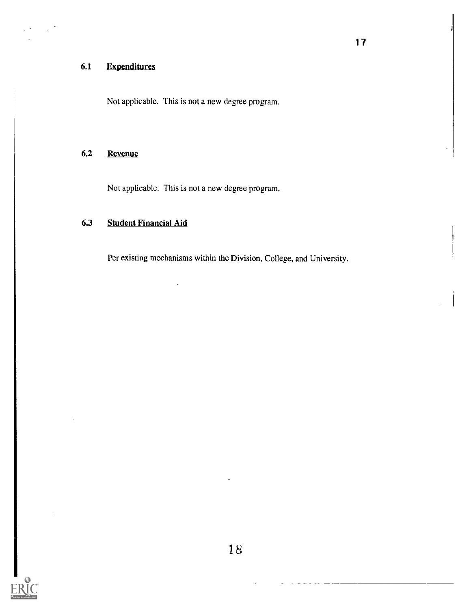# 6.1 Expenditures

Not applicable. This is not a new degree program.

# 6.2 Revenue

Not applicable. This is not a new degree program.

# 6.3 Student Financial Aid

Per existing mechanisms within the Division, College, and University.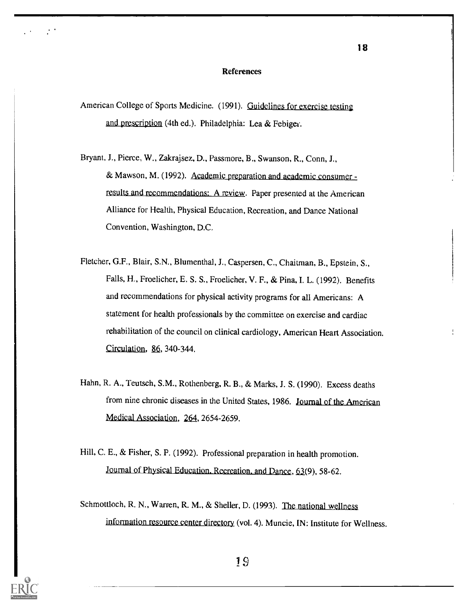#### References

American College of Sports Medicine. (1991). Guidelines for exercise testing and prescription (4th ed.). Philadelphia: Lea & Febiga.

 $\sim 10^{-4}$ 

- Bryant, J., Pierce, W., Zakrajsez, D., Passmore, B., Swanson, R., Conn, J., & Mawson, M. (1992). Academic preparation and academic consumer results and recommendations: A review. Paper presented at the American Alliance for Health, Physical Education, Recreation, and Dance National Convention, Washington, D.C.
- Fletcher, G.F., Blair, S.N., Blumenthal, J., Caspersen, C., Chaitman, B., Epstein, S., Falls, H., Froelicher, E. S. S., Froelicher, V. F., & Pina, I. L. (1992). Benefits and recommendations for physical activity programs for all Americans: A statement for health professionals by the committee on exercise and cardiac rehabilitation of the council on clinical cardiology, American Heart Association. Circulation,  $86, 340-344$ .
- Hahn, R. A., Teutsch, S.M., Rothenberg, R. B., & Marks, J. S. (1990). Excess deaths from nine chronic diseases in the United States, 1986. Journal of the American Medical Association, 264, 2654-2659.
- Hill, C. E., & Fisher, S. P. (1992). Professional preparation in health promotion. Journal of Physical Education. Recreation. and Dance, 63(9), 58-62.
- Schmottloch, R. N., Warren, R. M., & Sheller, D. (1993). The national wellness information resource center directory (vol. 4). Muncie, IN: Institute for Wellness.

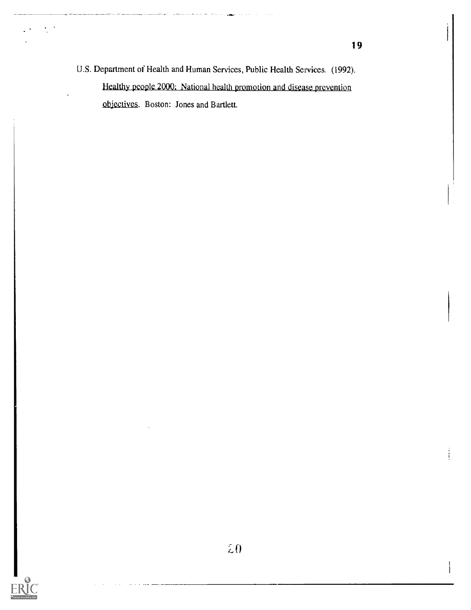U.S. Department of Health and Human Services, Public Health Services. (1992). Healthy people 2000: National health promotion and disease prevention objectives. Boston: Jones and Bartlett.

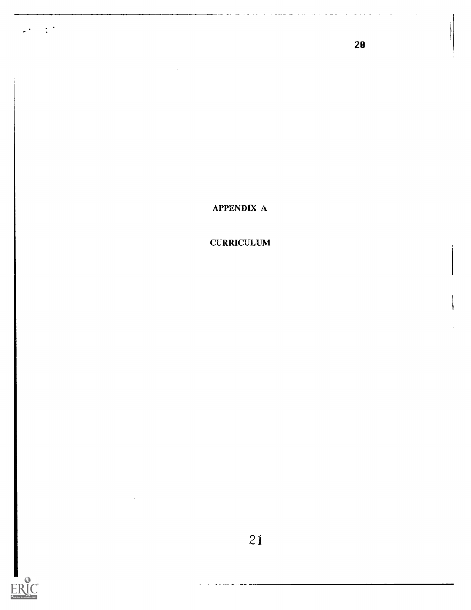APPENDIX A

20

CURRICULUM



 $\omega_{\rm{eff}}=2.2$